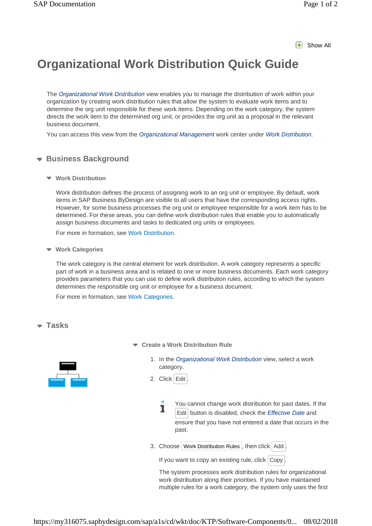## **F** Show All

## **Organizational Work Distribution Quick Guide**

The *Organizational Work Distribution* view enables you to manage the distribution of work within your organization by creating work distribution rules that allow the system to evaluate work items and to determine the org unit responsible for these work items. Depending on the work category, the system directs the work item to the determined org unit, or provides the org unit as a proposal in the relevant business document.

You can access this view from the *Organizational Management* work center under *Work Distribution*.

## **Business Background**

**Work Distribution**

Work distribution defines the process of assigning work to an org unit or employee. By default, work items in SAP Business ByDesign are visible to all users that have the corresponding access rights. However, for some business processes the org unit or employee responsible for a work item has to be determined. For these areas, you can define work distribution rules that enable you to automatically assign business documents and tasks to dedicated org units or employees.

For more in formation, see Work Distribution.

**Work Categories**

The work category is the central element for work distribution. A work category represents a specific part of work in a business area and is related to one or more business documents. Each work category provides parameters that you can use to define work distribution rules, according to which the system determines the responsible org unit or employee for a business document.

For more in formation, see Work Categories.

## **Tasks**



- **Create a Work Distribution Rule**
	- 1. In the *Organizational Work Distribution* view, select a work category.
	- 2. Click Edit

You cannot change work distribution for past dates. If the  $\blacksquare$ Edit button is disabled, check the *Effective Date* and ensure that you have not entered a date that occurs in the past.

3. Choose Work Distribution Rules, then click Add.

If you want to copy an existing rule, click  $\vert$  Copy  $\vert$ .

The system processes work distribution rules for organizational work distribution along their priorities. If you have maintained multiple rules for a work category, the system only uses the first